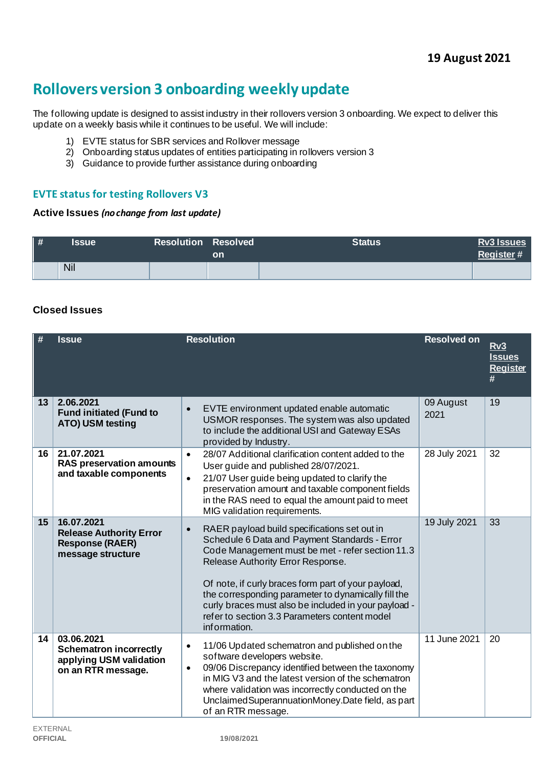# **Rollovers version 3 onboarding weekly update**

The following update is designed to assist industry in their rollovers version 3 onboarding. We expect to deliver this update on a weekly basis while it continues to be useful. We will include:

- 1) EVTE status for SBR services and Rollover message
- 2) Onboarding status updates of entities participating in rollovers version 3
- 3) Guidance to provide further assistance during onboarding

# **EVTE status for testing Rollovers V3**

#### **Active Issues** *(no change from last update)*

| $\vert \#$ | Issue | <b>Resolution Resolved</b> | on | <b>Status</b> | <b>Rv3 Issues</b><br>Register# |
|------------|-------|----------------------------|----|---------------|--------------------------------|
|            | Nil   |                            |    |               |                                |

# **Closed Issues**

| #  | <b>Issue</b>                                                                                 | <b>Resolution</b>                                                                                                                                                                                                                                                                                                                                                                                                                          | <b>Resolved on</b> | Rv3<br><b>Issues</b><br><b>Register</b><br># |
|----|----------------------------------------------------------------------------------------------|--------------------------------------------------------------------------------------------------------------------------------------------------------------------------------------------------------------------------------------------------------------------------------------------------------------------------------------------------------------------------------------------------------------------------------------------|--------------------|----------------------------------------------|
| 13 | 2.06.2021<br><b>Fund initiated (Fund to</b><br>ATO) USM testing                              | EVTE environment updated enable automatic<br>$\bullet$<br>USMOR responses. The system was also updated<br>to include the additional USI and Gateway ESAs<br>provided by Industry.                                                                                                                                                                                                                                                          | 09 August<br>2021  | 19                                           |
| 16 | 21.07.2021<br><b>RAS preservation amounts</b><br>and taxable components                      | 28/07 Additional clarification content added to the<br>$\bullet$<br>User guide and published 28/07/2021.<br>21/07 User guide being updated to clarify the<br>$\bullet$<br>preservation amount and taxable component fields<br>in the RAS need to equal the amount paid to meet<br>MIG validation requirements.                                                                                                                             | 28 July 2021       | 32                                           |
| 15 | 16.07.2021<br><b>Release Authority Error</b><br><b>Response (RAER)</b><br>message structure  | RAER payload build specifications set out in<br>$\bullet$<br>Schedule 6 Data and Payment Standards - Error<br>Code Management must be met - refer section 11.3<br>Release Authority Error Response.<br>Of note, if curly braces form part of your payload,<br>the corresponding parameter to dynamically fill the<br>curly braces must also be included in your payload -<br>refer to section 3.3 Parameters content model<br>information. | 19 July 2021       | $\overline{33}$                              |
| 14 | 03.06.2021<br><b>Schematron incorrectly</b><br>applying USM validation<br>on an RTR message. | 11/06 Updated schematron and published on the<br>$\bullet$<br>software developers website.<br>09/06 Discrepancy identified between the taxonomy<br>$\bullet$<br>in MIG V3 and the latest version of the schematron<br>where validation was incorrectly conducted on the<br>Unclaimed Superannuation Money. Date field, as part<br>of an RTR message.                                                                                       | 11 June 2021       | 20                                           |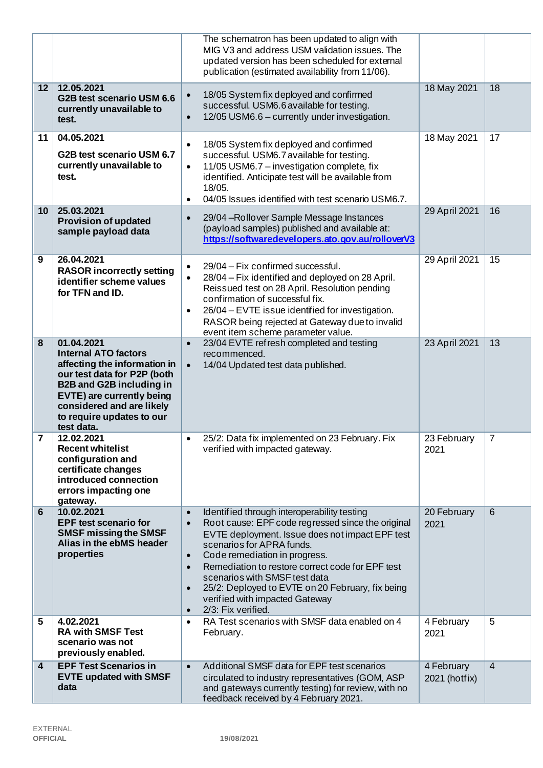|                         |                                                                                                                                                                                                                                                         | The schematron has been updated to align with<br>MIG V3 and address USM validation issues. The<br>updated version has been scheduled for external<br>publication (estimated availability from 11/06).                                                                                                                                                                                                                                                                                            |                             |                |
|-------------------------|---------------------------------------------------------------------------------------------------------------------------------------------------------------------------------------------------------------------------------------------------------|--------------------------------------------------------------------------------------------------------------------------------------------------------------------------------------------------------------------------------------------------------------------------------------------------------------------------------------------------------------------------------------------------------------------------------------------------------------------------------------------------|-----------------------------|----------------|
| $\overline{12}$         | 12.05.2021<br>G2B test scenario USM 6.6<br>currently unavailable to<br>test.                                                                                                                                                                            | 18/05 System fix deployed and confirmed<br>$\bullet$<br>successful. USM6.6 available for testing.<br>12/05 USM6.6 - currently under investigation.<br>$\bullet$                                                                                                                                                                                                                                                                                                                                  | 18 May 2021                 | 18             |
| 11                      | 04.05.2021<br>G2B test scenario USM 6.7<br>currently unavailable to<br>test.                                                                                                                                                                            | 18/05 System fix deployed and confirmed<br>$\bullet$<br>successful. USM6.7 available for testing.<br>11/05 USM6.7 - investigation complete, fix<br>$\bullet$<br>identified. Anticipate test will be available from<br>18/05.<br>04/05 Issues identified with test scenario USM6.7.<br>$\bullet$                                                                                                                                                                                                  | 18 May 2021                 | 17             |
| 10 <sup>°</sup>         | 25.03.2021<br><b>Provision of updated</b><br>sample payload data                                                                                                                                                                                        | 29/04 - Rollover Sample Message Instances<br>$\bullet$<br>(payload samples) published and available at:<br>https://softwaredevelopers.ato.gov.au/rolloverV3                                                                                                                                                                                                                                                                                                                                      | 29 April 2021               | 16             |
| 9                       | 26.04.2021<br><b>RASOR incorrectly setting</b><br>identifier scheme values<br>for TFN and ID.                                                                                                                                                           | 29/04 - Fix confirmed successful.<br>$\bullet$<br>28/04 – Fix identified and deployed on 28 April.<br>$\bullet$<br>Reissued test on 28 April. Resolution pending<br>confirmation of successful fix.<br>26/04 - EVTE issue identified for investigation.<br>$\bullet$<br>RASOR being rejected at Gateway due to invalid<br>event item scheme parameter value.                                                                                                                                     | 29 April 2021               | 15             |
| 8                       | 01.04.2021<br><b>Internal ATO factors</b><br>affecting the information in<br>our test data for P2P (both<br><b>B2B and G2B including in</b><br><b>EVTE) are currently being</b><br>considered and are likely<br>to require updates to our<br>test data. | 23/04 EVTE refresh completed and testing<br>$\bullet$<br>recommenced.<br>14/04 Updated test data published.<br>$\bullet$                                                                                                                                                                                                                                                                                                                                                                         | 23 April 2021               | 13             |
| $\overline{\mathbf{7}}$ | 12.02.2021<br><b>Recent whitelist</b><br>configuration and<br>certificate changes<br>introduced connection<br>errors impacting one<br>gateway.                                                                                                          | 25/2: Data fix implemented on 23 February. Fix<br>$\bullet$<br>verified with impacted gateway.                                                                                                                                                                                                                                                                                                                                                                                                   | 23 February<br>2021         | $\overline{7}$ |
| 6                       | 10.02.2021<br><b>EPF test scenario for</b><br><b>SMSF missing the SMSF</b><br>Alias in the ebMS header<br>properties                                                                                                                                    | Identified through interoperability testing<br>$\bullet$<br>Root cause: EPF code regressed since the original<br>$\bullet$<br>EVTE deployment. Issue does not impact EPF test<br>scenarios for APRA funds.<br>Code remediation in progress.<br>$\bullet$<br>Remediation to restore correct code for EPF test<br>$\bullet$<br>scenarios with SMSF test data<br>25/2: Deployed to EVTE on 20 February, fix being<br>$\bullet$<br>verified with impacted Gateway<br>2/3: Fix verified.<br>$\bullet$ | 20 February<br>2021         | 6              |
| 5                       | 4.02.2021<br><b>RA with SMSF Test</b><br>scenario was not<br>previously enabled.                                                                                                                                                                        | RA Test scenarios with SMSF data enabled on 4<br>$\bullet$<br>February.                                                                                                                                                                                                                                                                                                                                                                                                                          | 4 February<br>2021          | 5              |
| 4                       | <b>EPF Test Scenarios in</b><br><b>EVTE updated with SMSF</b><br>data                                                                                                                                                                                   | Additional SMSF data for EPF test scenarios<br>$\bullet$<br>circulated to industry representatives (GOM, ASP<br>and gateways currently testing) for review, with no<br>feedback received by 4 February 2021.                                                                                                                                                                                                                                                                                     | 4 February<br>2021 (hotfix) | $\overline{4}$ |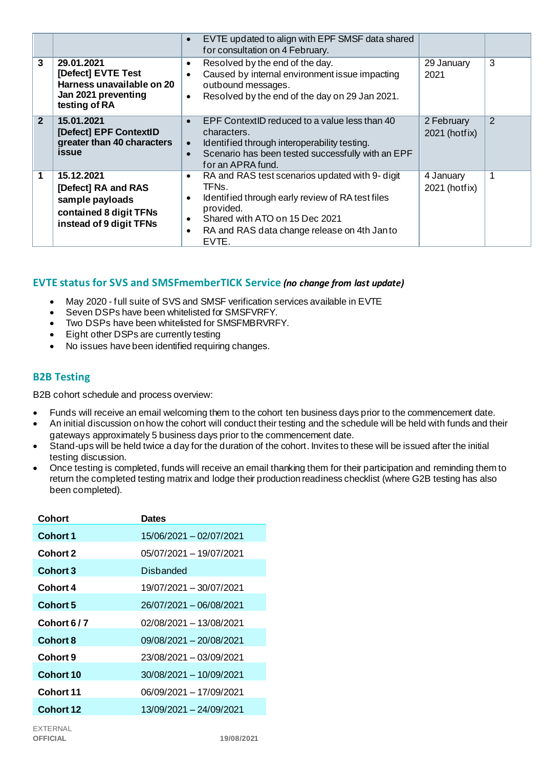|                |                                                                                                           | EVTE updated to align with EPF SMSF data shared<br>$\bullet$<br>for consultation on 4 February.                                                                                                                                                                                      |                             |   |
|----------------|-----------------------------------------------------------------------------------------------------------|--------------------------------------------------------------------------------------------------------------------------------------------------------------------------------------------------------------------------------------------------------------------------------------|-----------------------------|---|
| 3              | 29.01.2021<br>[Defect] EVTE Test<br>Harness unavailable on 20<br>Jan 2021 preventing<br>testing of RA     | Resolved by the end of the day.<br>٠<br>Caused by internal environment issue impacting<br>$\bullet$<br>outbound messages.<br>Resolved by the end of the day on 29 Jan 2021.<br>$\bullet$                                                                                             | 29 January<br>2021          | 3 |
| $\overline{2}$ | 15.01.2021<br>[Defect] EPF ContextID<br>greater than 40 characters<br><i>issue</i>                        | EPF ContextID reduced to a value less than 40<br>$\bullet$<br>characters.<br>Identified through interoperability testing.<br>$\bullet$<br>Scenario has been tested successfully with an EPF<br>$\bullet$<br>for an APRA fund.                                                        | 2 February<br>2021 (hotfix) | 2 |
| 1              | 15.12.2021<br>[Defect] RA and RAS<br>sample payloads<br>contained 8 digit TFNs<br>instead of 9 digit TFNs | RA and RAS test scenarios updated with 9- digit<br>$\bullet$<br>TFN <sub>s</sub> .<br>Identified through early review of RA test files<br>$\bullet$<br>provided.<br>Shared with ATO on 15 Dec 2021<br>$\bullet$<br>RA and RAS data change release on 4th Janto<br>$\bullet$<br>EVTE. | 4 January<br>2021 (hotfix)  |   |

# **EVTE status for SVS and SMSFmemberTICK Service** *(no change from last update)*

- May 2020 full suite of SVS and SMSF verification services available in EVTE
- Seven DSPs have been whitelisted for SMSFVRFY.
- Two DSPs have been whitelisted for SMSFMBRVRFY.
- Eight other DSPs are currently testing
- No issues have been identified requiring changes.

## **B2B Testing**

B2B cohort schedule and process overview:

- Funds will receive an email welcoming them to the cohort ten business days prior to the commencement date.
- An initial discussion on how the cohort will conduct their testing and the schedule will be held with funds and their gateways approximately 5 business days prior to the commencement date.
- Stand-ups will be held twice a day for the duration of the cohort. Invites to these will be issued after the initial testing discussion.
- Once testing is completed, funds will receive an email thanking them for their participation and reminding them to return the completed testing matrix and lodge their production readiness checklist (where G2B testing has also been completed).

| Cohort           | <b>Dates</b>            |
|------------------|-------------------------|
| Cohort 1         | 15/06/2021 - 02/07/2021 |
| <b>Cohort 2</b>  | 05/07/2021 - 19/07/2021 |
| <b>Cohort 3</b>  | <b>Disbanded</b>        |
| Cohort 4         | 19/07/2021 - 30/07/2021 |
| <b>Cohort 5</b>  | 26/07/2021 - 06/08/2021 |
| Cohort 6/7       | 02/08/2021 - 13/08/2021 |
| <b>Cohort 8</b>  | 09/08/2021 - 20/08/2021 |
| Cohort 9         | 23/08/2021 - 03/09/2021 |
| Cohort 10        | 30/08/2021 - 10/09/2021 |
| Cohort 11        | 06/09/2021 - 17/09/2021 |
| <b>Cohort 12</b> | 13/09/2021 - 24/09/2021 |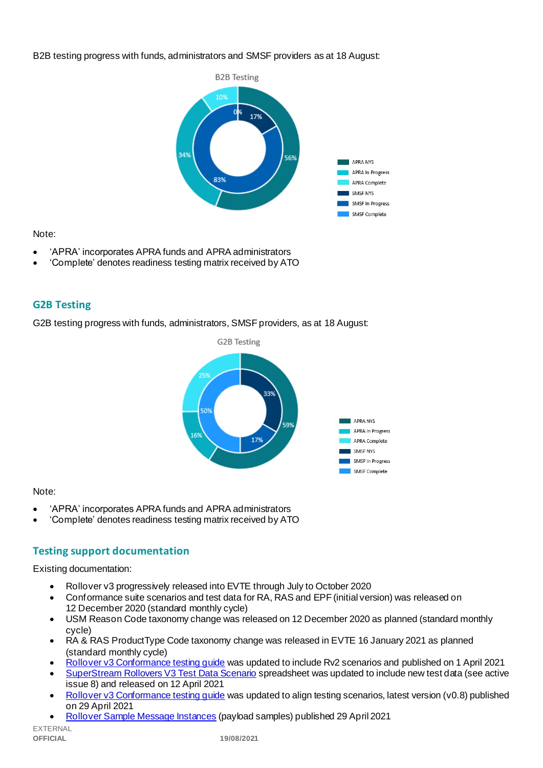#### B2B testing progress with funds, administrators and SMSF providers as at 18 August:



#### Note:

- 'APRA' incorporates APRA funds and APRA administrators
- 'Complete' denotes readiness testing matrix received by ATO

# **G2B Testing**

G2B testing progress with funds, administrators, SMSF providers, as at 18 August:



## Note:

- 'APRA' incorporates APRA funds and APRA administrators
- 'Complete' denotes readiness testing matrix received by ATO

# **Testing support documentation**

Existing documentation:

- Rollover v3 progressively released into EVTE through July to October 2020
- Conformance suite scenarios and test data for RA, RAS and EPF (initial version) was released on 12 December 2020 (standard monthly cycle)
- USM Reason Code taxonomy change was released on 12 December 2020 as planned (standard monthly cycle)
- RA & RAS ProductType Code taxonomy change was released in EVTE 16 January 2021 as planned (standard monthly cycle)
- [Rollover v3 Conformance testing guide](https://softwaredevelopers.ato.gov.au/rolloverV3) was updated to include Rv2 scenarios and published on 1 April 2021
- [SuperStream Rollovers V3 Test Data Scenario](https://softwaredevelopers.ato.gov.au/sites/default/files/2021-04/SuperStream_RolloversV3_Test_Data_Scenario_V1.0.xlsx) spreadsheet was updated to include new test data (see active issue 8) and released on 12 April 2021
- Rollover v3 Conformance testing quide was updated to align testing scenarios, latest version (v0.8) published on 29 April 2021
- [Rollover Sample Message Instances](https://softwaredevelopers.ato.gov.au/rolloverV3) (payload samples) published 29 April 2021